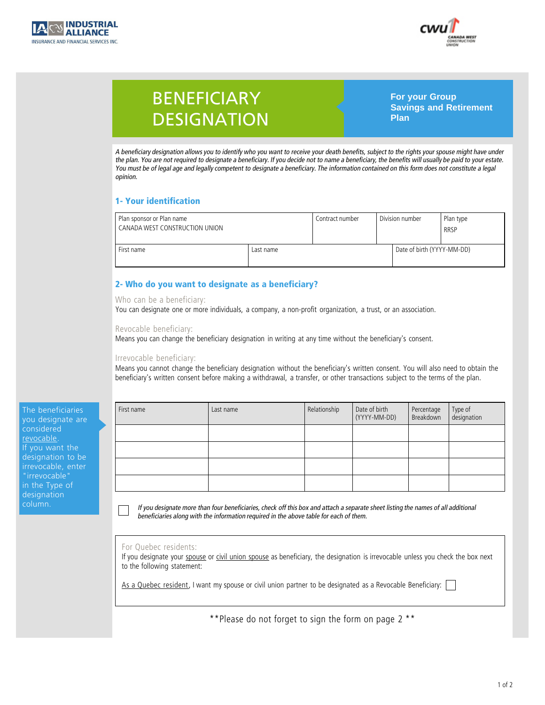



# BENEFICIARY **DESIGNATION**

**For your Group Savings and Retirement Plan**

*A beneficiary designation allows you to identify who you want to receive your death benefits, subject to the rights your spouse might have under* A beneficiary designation allows you to identify who you want to receive your death benefits, subject to the rights your spouse might have under<br>the plan. You are not required to designate a beneficiary. If you decide not *You must be of legal age and legally competent to designate a beneficiary. The information contained on this form does not constitute a legal opinion.*

| 1- Your identification                                      |           |                 |                 |                            |                          |  |  |  |
|-------------------------------------------------------------|-----------|-----------------|-----------------|----------------------------|--------------------------|--|--|--|
| Plan sponsor or Plan name<br>CANADA WEST CONSTRUCTION UNION |           | Contract number | Division number |                            | Plan type<br><b>RRSP</b> |  |  |  |
| First name                                                  | Last name |                 |                 | Date of birth (YYYY-MM-DD) |                          |  |  |  |

# 2- **Who do you want to designate as a beneficiary?**<br>Who can be a beneficiary:

**2- Who do you want to designate as a beneficiary?** You can designate one or more individuals, a company, a non-profit organization, a trust, or an association.

## **Revocable beneficiary:**

Revocable beneficiary:<br>Means you can change the beneficiary designation in writing at any time without the beneficiary's consent.

# **I**<br>**Irrevocable beneficiary:**<br>**Irrevocable beneficiary:**<br>**Means you cannot change the**

Irrevocable beneficiary:<br>Means you cannot change the beneficiary designation without the beneficiary's written consent. You will also need to obtain the beneficiary's written consent before making a withdrawal, a transfer, or other transactions subject to the terms of the plan.

**The beneficiaries you designate area**<br> *revocable***</u><br>
If you want the** revocable. designation to be<br>irrevocable, enter<br>"irrevocable" irrevocable, enter "irrevocable"<br>in the Type of<br>designation in the Type of designation<br>column.<br>**in the Type of** column.

| First name | Last name | Relationship | Date of birth<br>(YYYY-MM-DD) | Percentage<br>Breakdown | Type of<br>designation |
|------------|-----------|--------------|-------------------------------|-------------------------|------------------------|
|            |           |              |                               |                         |                        |
|            |           |              |                               |                         |                        |
|            |           |              |                               |                         |                        |
|            |           |              |                               |                         |                        |

*If you designate more than four beneficiaries, check off this box and attach a separate sheet listing the names of all additional* If you designate more than four beneficiaries, check off this box and attach a separate s<br>beneficiaries along with the information required in the above table for each of them.

## **For Quebec residents:**

For Quebec residents:<br>If you designate your <u>spouse</u> or <u>civil union spouse</u> as beneficiary, the designation is irrevocable unless you check the box next<br>to the following statement: For Quebec residents:<br>If you designate your <u>spouse</u><br>to the following statement: **As a Quebec resident**, I want my spouse or civil union partner to be designated as a Revocable Beneficiary: □

**\*\*Please do not forget to sign the form on page 2 \*\***